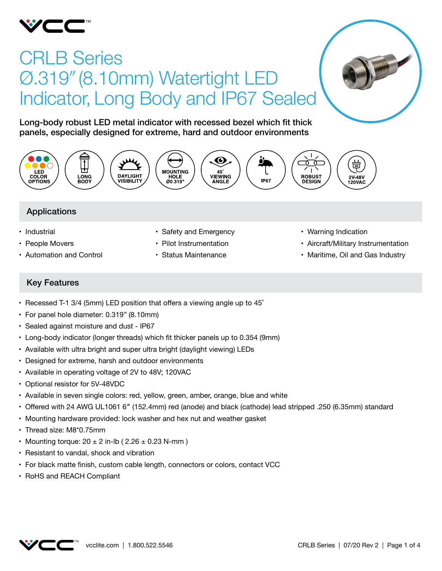

# CRLB Series Ø.319″(8.10mm) Watertight LED Indicator, Long Body and IP67 Sealed

Long-body robust LED metal indicator with recessed bezel which fit thick panels, especially designed for extreme, hard and outdoor environments



# Applications

- Industrial
- People Movers
- • Automation and Control
- Safety and Emergency
- Pilot Instrumentation
- • Status Maintenance
- Warning Indication
- Aircraft/Military Instrumentation
- Maritime, Oil and Gas Industry

## Key Features

- Recessed T-1 3/4 (5mm) LED position that offers a viewing angle up to  $45^\circ$
- • For panel hole diameter: 0.319" (8.10mm)
- Sealed against moisture and dust IP67
- • Long-body indicator (longer threads) which fit thicker panels up to 0.354 (9mm)
- Available with ultra bright and super ultra bright (daylight viewing) LEDs
- Designed for extreme, harsh and outdoor environments
- Available in operating voltage of 2V to 48V; 120VAC
- • Optional resistor for 5V-48VDC
- • Available in seven single colors: red, yellow, green, amber, orange, blue and white
- • Offered with 24 AWG UL1061 6″ (152.4mm) red (anode) and black (cathode) lead stripped .250 (6.35mm) standard
- Mounting hardware provided: lock washer and hex nut and weather gasket
- Thread size: M8\*0.75mm
- Mounting torque:  $20 \pm 2$  in-lb (  $2.26 \pm 0.23$  N-mm )
- Resistant to vandal, shock and vibration
- • For black matte finish, custom cable length, connectors or colors, contact VCC
- • RoHS and REACH Compliant

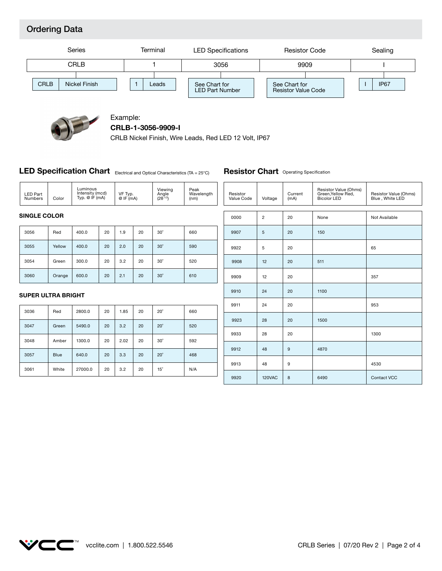# Ordering Data





#### Example: **CRLB-1-3056-9909-I**

CRLB Nickel Finish, Wire Leads, Red LED 12 Volt, IP67

#### **LED Specification Chart** Electrical and Optical Characteristics (TA = 25°C)

**Resistor Chart** Operating Specification

| <b>LED Part</b><br><b>Numbers</b> | Color       | Luminous<br>Intensity (mcd)<br>Typ. @ IF $(mA)$ |    | VF Typ.<br>@ IF (mA) |                | Viewing<br>Angle<br>$(2\theta^{1/2})$ | Peak<br>Wavelength<br>(nm) | Resistor<br>Value Code | Voltage        | Current<br>(mA) | Resistor Value (Ohms)<br>Green, Yellow Red,<br><b>Bicolor LED</b> | Resistor Value (Ohms)<br>Blue, White LED |
|-----------------------------------|-------------|-------------------------------------------------|----|----------------------|----------------|---------------------------------------|----------------------------|------------------------|----------------|-----------------|-------------------------------------------------------------------|------------------------------------------|
| <b>SINGLE COLOR</b>               |             |                                                 |    | 0000                 | $\overline{2}$ | 20                                    | None                       | Not Available          |                |                 |                                                                   |                                          |
| 3056                              | Red         | 400.0                                           | 20 | 1.9                  | 20             | $30^\circ$                            | 660                        | 9907                   | $\overline{5}$ | 20              | 150                                                               |                                          |
| 3055                              | Yellow      | 400.0                                           | 20 | 2.0                  | 20             | $30^\circ$                            | 590                        | 9922                   | 5              | 20              |                                                                   | 65                                       |
| 3054                              | Green       | 300.0                                           | 20 | 3.2                  | 20             | $30^\circ$                            | 520                        | 9908                   | 12             | 20              | 511                                                               |                                          |
| 3060                              | Orange      | 600.0                                           | 20 | 2.1                  | 20             | $30^\circ$                            | 610                        | 9909                   | 12             | 20              |                                                                   | 357                                      |
| <b>SUPER ULTRA BRIGHT</b>         |             |                                                 |    | 9910                 | 24             | 20                                    | 1100                       |                        |                |                 |                                                                   |                                          |
| 3036                              | Red         | 2800.0                                          | 20 | 1.85                 | 20             | $20^\circ$                            | 660                        | 9911                   | 24             | 20              |                                                                   | 953                                      |
| 3047                              | Green       | 5490.0                                          | 20 | 3.2                  | 20             | $20^\circ$                            | 520                        | 9923                   | 28             | 20              | 1500                                                              |                                          |
|                                   |             |                                                 |    |                      |                |                                       |                            | 9933                   | 28             | 20              |                                                                   | 1300                                     |
| 3048                              | Amber       | 1300.0                                          | 20 | 2.02                 | 20             | $30^\circ$                            | 592                        | 9912                   | 48             | 9               | 4870                                                              |                                          |
| 3057                              | <b>Blue</b> | 640.0                                           | 20 | 3.3                  | 20             | $20^{\circ}$                          | 468                        | 9913                   | 48             | 9               |                                                                   | 4530                                     |
| 3061                              | White       | 27000.0                                         | 20 | 3.2                  | 20             | $15^\circ$                            | N/A                        | 9920                   | <b>120VAC</b>  | 8               | 6490                                                              | Contact VCC                              |

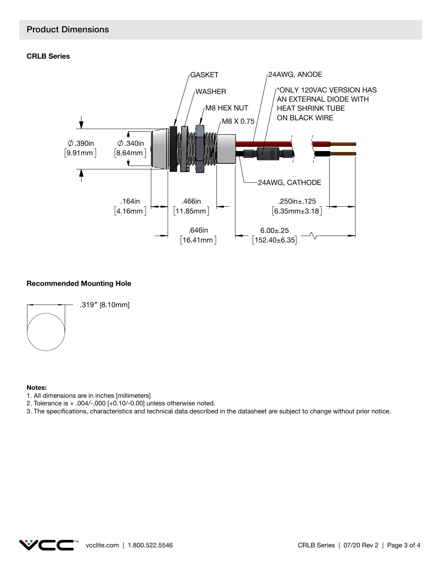## Product Dimensions

#### **CRLB Series**



#### **Recommended Mounting Hole**



#### **Notes:**

- 1. All dimensions are in inches [millimeters]
- 2. Tolerance is + .004/-.000 [+0.10/-0.00] unless otherwise noted.
- 3. The specifications, characteristics and technical data described in the datasheet are subject to change without prior notice.